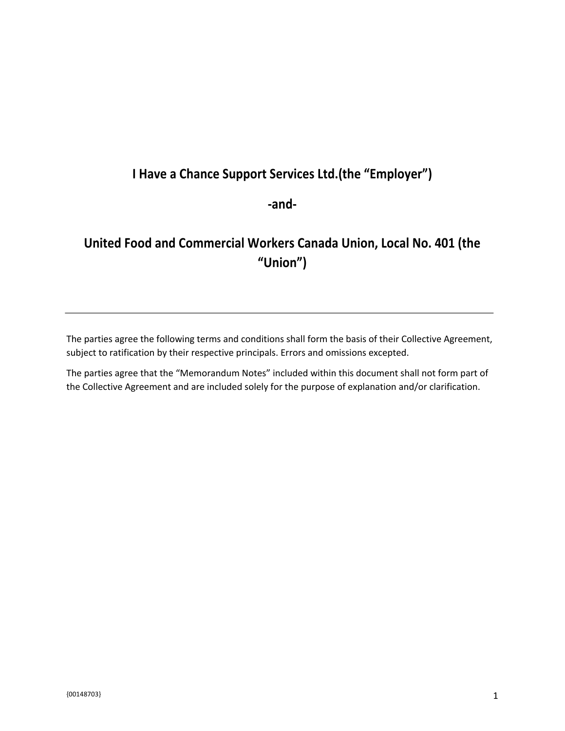## **I Have a Chance Support Services Ltd.(the "Employer")**

**-and-**

# **United Food and Commercial Workers Canada Union, Local No. 401 (the "Union")**

The parties agree the following terms and conditions shall form the basis of their Collective Agreement, subject to ratification by their respective principals. Errors and omissions excepted.

The parties agree that the "Memorandum Notes" included within this document shall not form part of the Collective Agreement and are included solely for the purpose of explanation and/or clarification.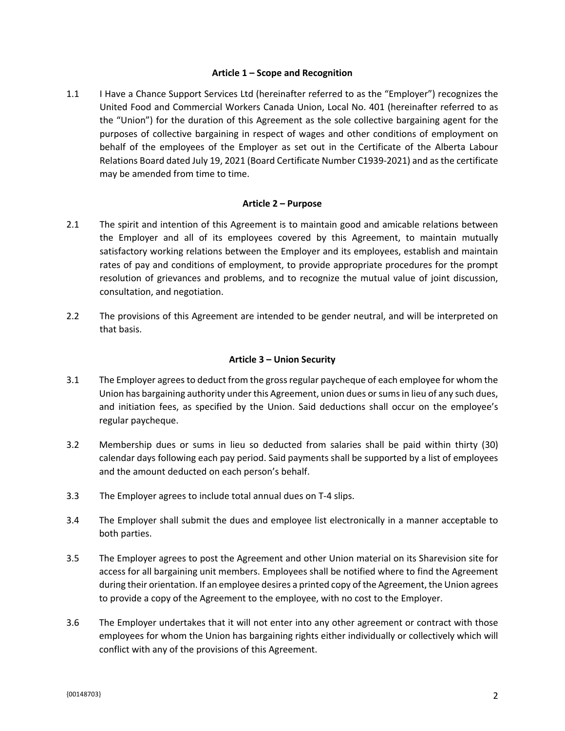#### **Article 1 – Scope and Recognition**

1.1 I Have a Chance Support Services Ltd (hereinafter referred to as the "Employer") recognizes the United Food and Commercial Workers Canada Union, Local No. 401 (hereinafter referred to as the "Union") for the duration of this Agreement as the sole collective bargaining agent for the purposes of collective bargaining in respect of wages and other conditions of employment on behalf of the employees of the Employer as set out in the Certificate of the Alberta Labour Relations Board dated July 19, 2021 (Board Certificate Number C1939-2021) and as the certificate may be amended from time to time.

### **Article 2 – Purpose**

- 2.1 The spirit and intention of this Agreement is to maintain good and amicable relations between the Employer and all of its employees covered by this Agreement, to maintain mutually satisfactory working relations between the Employer and its employees, establish and maintain rates of pay and conditions of employment, to provide appropriate procedures for the prompt resolution of grievances and problems, and to recognize the mutual value of joint discussion, consultation, and negotiation.
- 2.2 The provisions of this Agreement are intended to be gender neutral, and will be interpreted on that basis.

### **Article 3 – Union Security**

- 3.1 The Employer agrees to deduct from the gross regular paycheque of each employee for whom the Union has bargaining authority under this Agreement, union dues or sums in lieu of any such dues, and initiation fees, as specified by the Union. Said deductions shall occur on the employee's regular paycheque.
- 3.2 Membership dues or sums in lieu so deducted from salaries shall be paid within thirty (30) calendar days following each pay period. Said payments shall be supported by a list of employees and the amount deducted on each person's behalf.
- 3.3 The Employer agrees to include total annual dues on T-4 slips.
- 3.4 The Employer shall submit the dues and employee list electronically in a manner acceptable to both parties.
- 3.5 The Employer agrees to post the Agreement and other Union material on its Sharevision site for access for all bargaining unit members. Employees shall be notified where to find the Agreement during their orientation. If an employee desires a printed copy of the Agreement, the Union agrees to provide a copy of the Agreement to the employee, with no cost to the Employer.
- 3.6 The Employer undertakes that it will not enter into any other agreement or contract with those employees for whom the Union has bargaining rights either individually or collectively which will conflict with any of the provisions of this Agreement.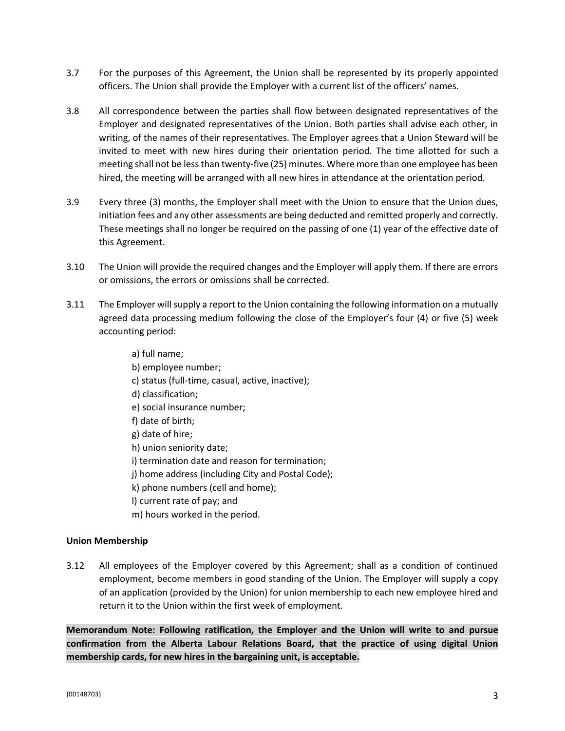- 3.7 For the purposes of this Agreement, the Union shall be represented by its properly appointed officers. The Union shall provide the Employer with a current list of the officers' names.
- 3.8 All correspondence between the parties shall flow between designated representatives of the Employer and designated representatives of the Union. Both parties shall advise each other, in writing, of the names of their representatives. The Employer agrees that a Union Steward will be invited to meet with new hires during their orientation period. The time allotted for such a meeting shall not be less than twenty-five (25) minutes. Where more than one employee has been hired, the meeting will be arranged with all new hires in attendance at the orientation period.
- 3.9 Every three (3) months, the Employer shall meet with the Union to ensure that the Union dues, initiation fees and any other assessments are being deducted and remitted properly and correctly. These meetings shall no longer be required on the passing of one (1) year of the effective date of this Agreement.
- 3.10 The Union will provide the required changes and the Employer will apply them. If there are errors or omissions, the errors or omissions shall be corrected.
- 3.11 The Employer will supply a report to the Union containing the following information on a mutually agreed data processing medium following the close of the Employer's four (4) or five (5) week accounting period:
	- a) full name; b) employee number; c) status (full-time, casual, active, inactive); d) classification; e) social insurance number; f) date of birth; g) date of hire; h) union seniority date; i) termination date and reason for termination; j) home address (including City and Postal Code); k) phone numbers (cell and home); l) current rate of pay; and m) hours worked in the period.

### **Union Membership**

3.12 All employees of the Employer covered by this Agreement; shall as a condition of continued employment, become members in good standing of the Union. The Employer will supply a copy of an application (provided by the Union) for union membership to each new employee hired and return it to the Union within the first week of employment.

**Memorandum Note: Following ratification, the Employer and the Union will write to and pursue confirmation from the Alberta Labour Relations Board, that the practice of using digital Union membership cards, for new hires in the bargaining unit, is acceptable.**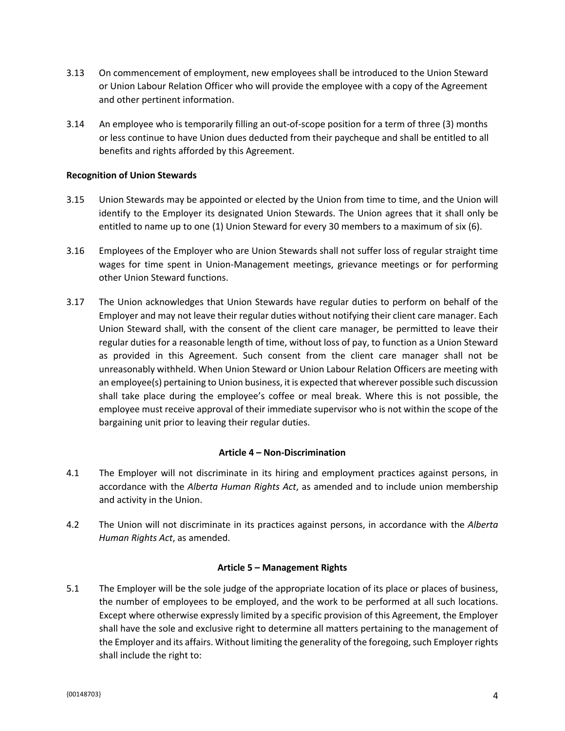- 3.13 On commencement of employment, new employees shall be introduced to the Union Steward or Union Labour Relation Officer who will provide the employee with a copy of the Agreement and other pertinent information.
- 3.14 An employee who is temporarily filling an out-of-scope position for a term of three (3) months or less continue to have Union dues deducted from their paycheque and shall be entitled to all benefits and rights afforded by this Agreement.

### **Recognition of Union Stewards**

- 3.15 Union Stewards may be appointed or elected by the Union from time to time, and the Union will identify to the Employer its designated Union Stewards. The Union agrees that it shall only be entitled to name up to one (1) Union Steward for every 30 members to a maximum of six (6).
- 3.16 Employees of the Employer who are Union Stewards shall not suffer loss of regular straight time wages for time spent in Union-Management meetings, grievance meetings or for performing other Union Steward functions.
- 3.17 The Union acknowledges that Union Stewards have regular duties to perform on behalf of the Employer and may not leave their regular duties without notifying their client care manager. Each Union Steward shall, with the consent of the client care manager, be permitted to leave their regular duties for a reasonable length of time, without loss of pay, to function as a Union Steward as provided in this Agreement. Such consent from the client care manager shall not be unreasonably withheld. When Union Steward or Union Labour Relation Officers are meeting with an employee(s) pertaining to Union business, it is expected that wherever possible such discussion shall take place during the employee's coffee or meal break. Where this is not possible, the employee must receive approval of their immediate supervisor who is not within the scope of the bargaining unit prior to leaving their regular duties.

#### **Article 4 – Non-Discrimination**

- 4.1 The Employer will not discriminate in its hiring and employment practices against persons, in accordance with the *Alberta Human Rights Act*, as amended and to include union membership and activity in the Union.
- 4.2 The Union will not discriminate in its practices against persons, in accordance with the *Alberta Human Rights Act*, as amended.

#### **Article 5 – Management Rights**

5.1 The Employer will be the sole judge of the appropriate location of its place or places of business, the number of employees to be employed, and the work to be performed at all such locations. Except where otherwise expressly limited by a specific provision of this Agreement, the Employer shall have the sole and exclusive right to determine all matters pertaining to the management of the Employer and its affairs. Without limiting the generality of the foregoing, such Employer rights shall include the right to: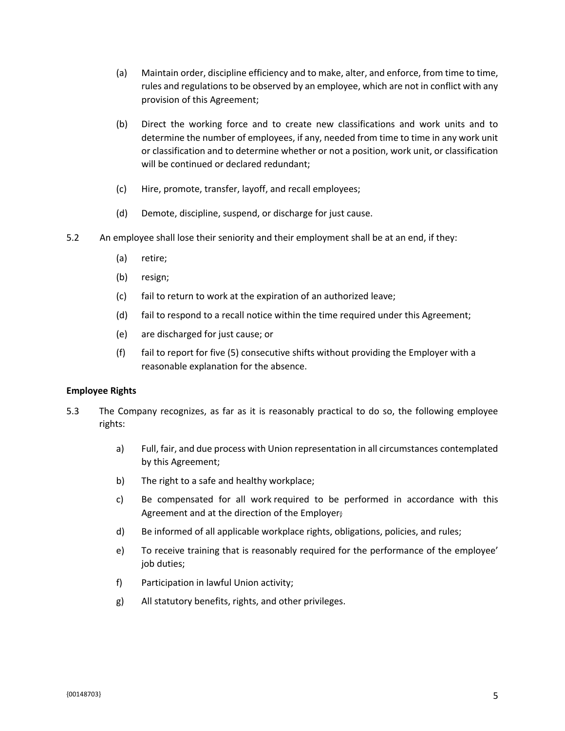- (a) Maintain order, discipline efficiency and to make, alter, and enforce, from time to time, rules and regulations to be observed by an employee, which are not in conflict with any provision of this Agreement;
- (b) Direct the working force and to create new classifications and work units and to determine the number of employees, if any, needed from time to time in any work unit or classification and to determine whether or not a position, work unit, or classification will be continued or declared redundant;
- (c) Hire, promote, transfer, layoff, and recall employees;
- (d) Demote, discipline, suspend, or discharge for just cause.
- 5.2 An employee shall lose their seniority and their employment shall be at an end, if they:
	- (a) retire;
	- (b) resign;
	- (c) fail to return to work at the expiration of an authorized leave;
	- (d) fail to respond to a recall notice within the time required under this Agreement;
	- (e) are discharged for just cause; or
	- (f) fail to report for five (5) consecutive shifts without providing the Employer with a reasonable explanation for the absence.

### **Employee Rights**

- 5.3 The Company recognizes, as far as it is reasonably practical to do so, the following employee rights:
	- a) Full, fair, and due process with Union representation in all circumstances contemplated by this Agreement;
	- b) The right to a safe and healthy workplace;
	- c) Be compensated for all work required to be performed in accordance with this Agreement and at the direction of the Employer;
	- d) Be informed of all applicable workplace rights, obligations, policies, and rules;
	- e) To receive training that is reasonably required for the performance of the employee' job duties;
	- f) Participation in lawful Union activity;
	- g) All statutory benefits, rights, and other privileges.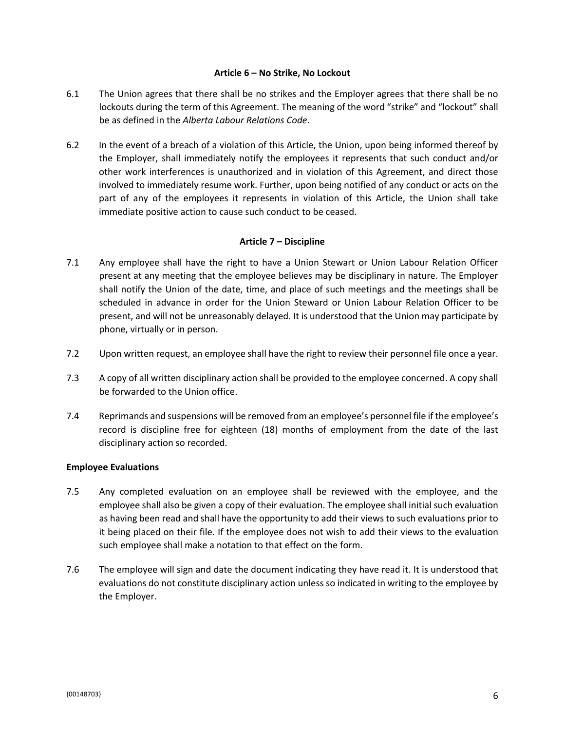#### **Article 6 – No Strike, No Lockout**

- 6.1 The Union agrees that there shall be no strikes and the Employer agrees that there shall be no lockouts during the term of this Agreement. The meaning of the word "strike" and "lockout" shall be as defined in the *Alberta Labour Relations Code*.
- 6.2 In the event of a breach of a violation of this Article, the Union, upon being informed thereof by the Employer, shall immediately notify the employees it represents that such conduct and/or other work interferences is unauthorized and in violation of this Agreement, and direct those involved to immediately resume work. Further, upon being notified of any conduct or acts on the part of any of the employees it represents in violation of this Article, the Union shall take immediate positive action to cause such conduct to be ceased.

### **Article 7 – Discipline**

- 7.1 Any employee shall have the right to have a Union Stewart or Union Labour Relation Officer present at any meeting that the employee believes may be disciplinary in nature. The Employer shall notify the Union of the date, time, and place of such meetings and the meetings shall be scheduled in advance in order for the Union Steward or Union Labour Relation Officer to be present, and will not be unreasonably delayed. It is understood that the Union may participate by phone, virtually or in person.
- 7.2 Upon written request, an employee shall have the right to review their personnel file once a year.
- 7.3 A copy of all written disciplinary action shall be provided to the employee concerned. A copy shall be forwarded to the Union office.
- 7.4 Reprimands and suspensions will be removed from an employee's personnel file if the employee's record is discipline free for eighteen (18) months of employment from the date of the last disciplinary action so recorded.

### **Employee Evaluations**

- 7.5 Any completed evaluation on an employee shall be reviewed with the employee, and the employee shall also be given a copy of their evaluation. The employee shall initial such evaluation as having been read and shall have the opportunity to add their views to such evaluations prior to it being placed on their file. If the employee does not wish to add their views to the evaluation such employee shall make a notation to that effect on the form.
- 7.6 The employee will sign and date the document indicating they have read it. It is understood that evaluations do not constitute disciplinary action unless so indicated in writing to the employee by the Employer.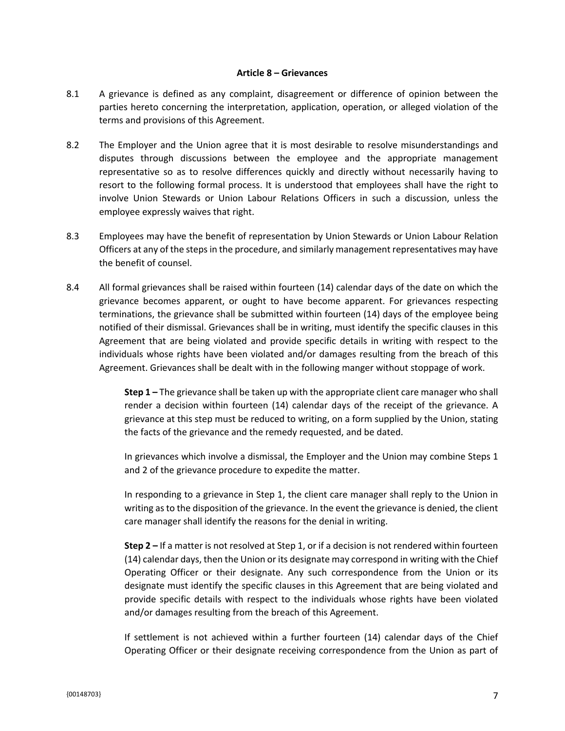#### **Article 8 – Grievances**

- 8.1 A grievance is defined as any complaint, disagreement or difference of opinion between the parties hereto concerning the interpretation, application, operation, or alleged violation of the terms and provisions of this Agreement.
- 8.2 The Employer and the Union agree that it is most desirable to resolve misunderstandings and disputes through discussions between the employee and the appropriate management representative so as to resolve differences quickly and directly without necessarily having to resort to the following formal process. It is understood that employees shall have the right to involve Union Stewards or Union Labour Relations Officers in such a discussion, unless the employee expressly waives that right.
- 8.3 Employees may have the benefit of representation by Union Stewards or Union Labour Relation Officers at any of the steps in the procedure, and similarly management representatives may have the benefit of counsel.
- 8.4 All formal grievances shall be raised within fourteen (14) calendar days of the date on which the grievance becomes apparent, or ought to have become apparent. For grievances respecting terminations, the grievance shall be submitted within fourteen (14) days of the employee being notified of their dismissal. Grievances shall be in writing, must identify the specific clauses in this Agreement that are being violated and provide specific details in writing with respect to the individuals whose rights have been violated and/or damages resulting from the breach of this Agreement. Grievances shall be dealt with in the following manger without stoppage of work.

**Step 1 –** The grievance shall be taken up with the appropriate client care manager who shall render a decision within fourteen (14) calendar days of the receipt of the grievance. A grievance at this step must be reduced to writing, on a form supplied by the Union, stating the facts of the grievance and the remedy requested, and be dated.

In grievances which involve a dismissal, the Employer and the Union may combine Steps 1 and 2 of the grievance procedure to expedite the matter.

In responding to a grievance in Step 1, the client care manager shall reply to the Union in writing as to the disposition of the grievance. In the event the grievance is denied, the client care manager shall identify the reasons for the denial in writing.

**Step 2 –** If a matter is not resolved at Step 1, or if a decision is not rendered within fourteen (14) calendar days, then the Union or its designate may correspond in writing with the Chief Operating Officer or their designate. Any such correspondence from the Union or its designate must identify the specific clauses in this Agreement that are being violated and provide specific details with respect to the individuals whose rights have been violated and/or damages resulting from the breach of this Agreement.

If settlement is not achieved within a further fourteen (14) calendar days of the Chief Operating Officer or their designate receiving correspondence from the Union as part of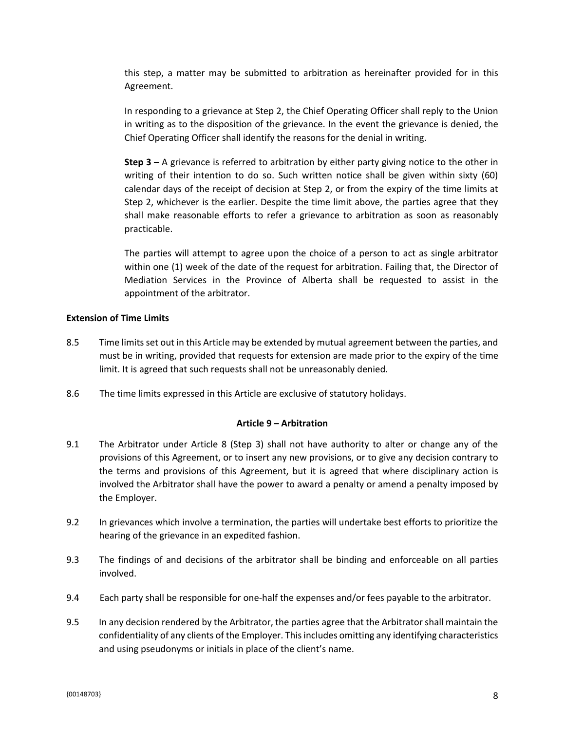this step, a matter may be submitted to arbitration as hereinafter provided for in this Agreement.

In responding to a grievance at Step 2, the Chief Operating Officer shall reply to the Union in writing as to the disposition of the grievance. In the event the grievance is denied, the Chief Operating Officer shall identify the reasons for the denial in writing.

**Step 3 –** A grievance is referred to arbitration by either party giving notice to the other in writing of their intention to do so. Such written notice shall be given within sixty (60) calendar days of the receipt of decision at Step 2, or from the expiry of the time limits at Step 2, whichever is the earlier. Despite the time limit above, the parties agree that they shall make reasonable efforts to refer a grievance to arbitration as soon as reasonably practicable.

The parties will attempt to agree upon the choice of a person to act as single arbitrator within one (1) week of the date of the request for arbitration. Failing that, the Director of Mediation Services in the Province of Alberta shall be requested to assist in the appointment of the arbitrator.

### **Extension of Time Limits**

- 8.5 Time limits set out in this Article may be extended by mutual agreement between the parties, and must be in writing, provided that requests for extension are made prior to the expiry of the time limit. It is agreed that such requests shall not be unreasonably denied.
- 8.6 The time limits expressed in this Article are exclusive of statutory holidays.

#### **Article 9 – Arbitration**

- 9.1 The Arbitrator under Article 8 (Step 3) shall not have authority to alter or change any of the provisions of this Agreement, or to insert any new provisions, or to give any decision contrary to the terms and provisions of this Agreement, but it is agreed that where disciplinary action is involved the Arbitrator shall have the power to award a penalty or amend a penalty imposed by the Employer.
- 9.2 In grievances which involve a termination, the parties will undertake best efforts to prioritize the hearing of the grievance in an expedited fashion.
- 9.3 The findings of and decisions of the arbitrator shall be binding and enforceable on all parties involved.
- 9.4 Each party shall be responsible for one-half the expenses and/or fees payable to the arbitrator.
- 9.5 In any decision rendered by the Arbitrator, the parties agree that the Arbitrator shall maintain the confidentiality of any clients of the Employer. This includes omitting any identifying characteristics and using pseudonyms or initials in place of the client's name.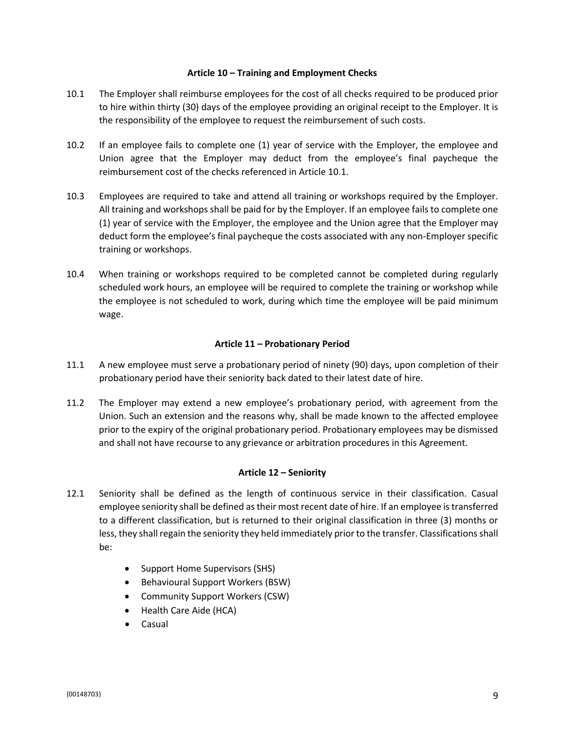#### **Article 10 – Training and Employment Checks**

- 10.1 The Employer shall reimburse employees for the cost of all checks required to be produced prior to hire within thirty (30) days of the employee providing an original receipt to the Employer. It is the responsibility of the employee to request the reimbursement of such costs.
- 10.2 If an employee fails to complete one (1) year of service with the Employer, the employee and Union agree that the Employer may deduct from the employee's final paycheque the reimbursement cost of the checks referenced in Article 10.1.
- 10.3 Employees are required to take and attend all training or workshops required by the Employer. All training and workshops shall be paid for by the Employer. If an employee fails to complete one (1) year of service with the Employer, the employee and the Union agree that the Employer may deduct form the employee's final paycheque the costs associated with any non-Employer specific training or workshops.
- 10.4 When training or workshops required to be completed cannot be completed during regularly scheduled work hours, an employee will be required to complete the training or workshop while the employee is not scheduled to work, during which time the employee will be paid minimum wage.

### **Article 11 – Probationary Period**

- 11.1 A new employee must serve a probationary period of ninety (90) days, upon completion of their probationary period have their seniority back dated to their latest date of hire.
- 11.2 The Employer may extend a new employee's probationary period, with agreement from the Union. Such an extension and the reasons why, shall be made known to the affected employee prior to the expiry of the original probationary period. Probationary employees may be dismissed and shall not have recourse to any grievance or arbitration procedures in this Agreement.

### **Article 12 – Seniority**

- 12.1 Seniority shall be defined as the length of continuous service in their classification. Casual employee seniority shall be defined as their most recent date of hire. If an employee is transferred to a different classification, but is returned to their original classification in three (3) months or less, they shall regain the seniority they held immediately prior to the transfer. Classifications shall be:
	- Support Home Supervisors (SHS)
	- Behavioural Support Workers (BSW)
	- Community Support Workers (CSW)
	- Health Care Aide (HCA)
	- **Casual**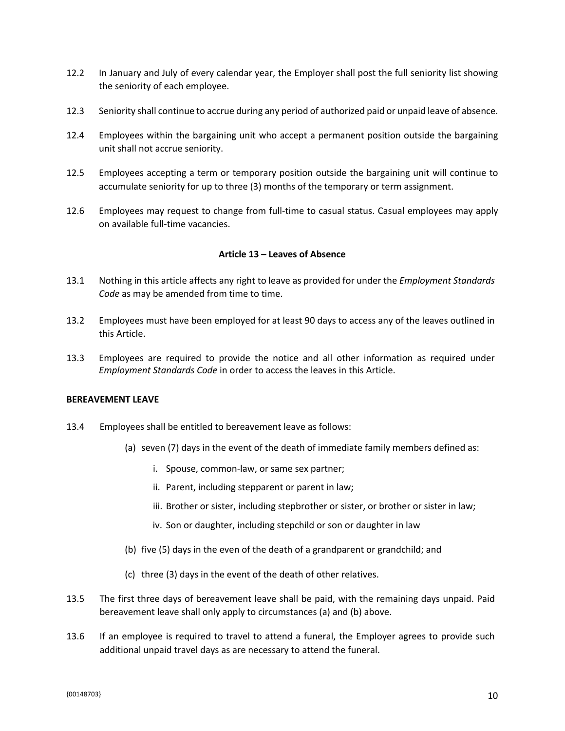- 12.2 In January and July of every calendar year, the Employer shall post the full seniority list showing the seniority of each employee.
- 12.3 Seniority shall continue to accrue during any period of authorized paid or unpaid leave of absence.
- 12.4 Employees within the bargaining unit who accept a permanent position outside the bargaining unit shall not accrue seniority.
- 12.5 Employees accepting a term or temporary position outside the bargaining unit will continue to accumulate seniority for up to three (3) months of the temporary or term assignment.
- 12.6 Employees may request to change from full-time to casual status. Casual employees may apply on available full-time vacancies.

#### **Article 13 – Leaves of Absence**

- 13.1 Nothing in this article affects any right to leave as provided for under the *Employment Standards Code* as may be amended from time to time.
- 13.2 Employees must have been employed for at least 90 days to access any of the leaves outlined in this Article.
- 13.3 Employees are required to provide the notice and all other information as required under *Employment Standards Code* in order to access the leaves in this Article.

#### **BEREAVEMENT LEAVE**

- 13.4 Employees shall be entitled to bereavement leave as follows:
	- (a) seven (7) days in the event of the death of immediate family members defined as:
		- i. Spouse, common-law, or same sex partner;
		- ii. Parent, including stepparent or parent in law;
		- iii. Brother or sister, including stepbrother or sister, or brother or sister in law;
		- iv. Son or daughter, including stepchild or son or daughter in law
	- (b) five (5) days in the even of the death of a grandparent or grandchild; and
	- (c) three (3) days in the event of the death of other relatives.
- 13.5 The first three days of bereavement leave shall be paid, with the remaining days unpaid. Paid bereavement leave shall only apply to circumstances (a) and (b) above.
- 13.6 If an employee is required to travel to attend a funeral, the Employer agrees to provide such additional unpaid travel days as are necessary to attend the funeral.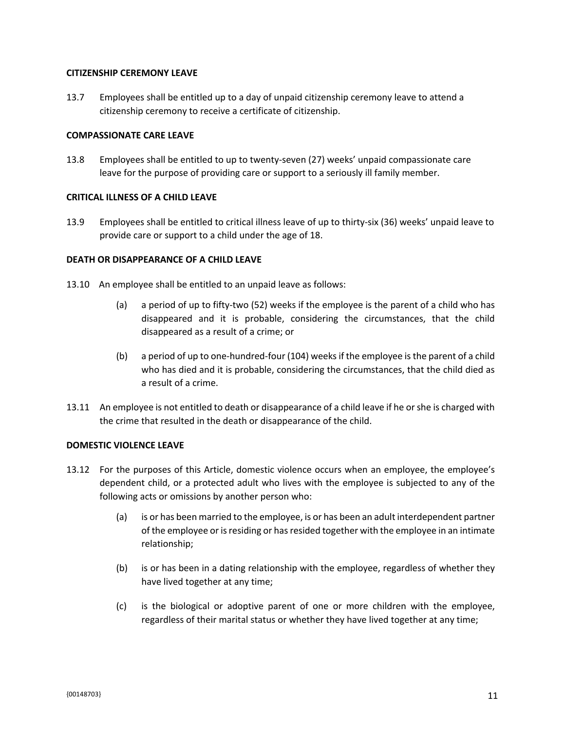#### **CITIZENSHIP CEREMONY LEAVE**

13.7 Employees shall be entitled up to a day of unpaid citizenship ceremony leave to attend a citizenship ceremony to receive a certificate of citizenship.

#### **COMPASSIONATE CARE LEAVE**

13.8 Employees shall be entitled to up to twenty-seven (27) weeks' unpaid compassionate care leave for the purpose of providing care or support to a seriously ill family member.

### **CRITICAL ILLNESS OF A CHILD LEAVE**

13.9 Employees shall be entitled to critical illness leave of up to thirty-six (36) weeks' unpaid leave to provide care or support to a child under the age of 18.

#### **DEATH OR DISAPPEARANCE OF A CHILD LEAVE**

- 13.10 An employee shall be entitled to an unpaid leave as follows:
	- (a) a period of up to fifty-two (52) weeks if the employee is the parent of a child who has disappeared and it is probable, considering the circumstances, that the child disappeared as a result of a crime; or
	- (b) a period of up to one-hundred-four (104) weeks if the employee is the parent of a child who has died and it is probable, considering the circumstances, that the child died as a result of a crime.
- 13.11 An employee is not entitled to death or disappearance of a child leave if he or she is charged with the crime that resulted in the death or disappearance of the child.

#### **DOMESTIC VIOLENCE LEAVE**

- 13.12 For the purposes of this Article, domestic violence occurs when an employee, the employee's dependent child, or a protected adult who lives with the employee is subjected to any of the following acts or omissions by another person who:
	- (a) is or has been married to the employee, is or has been an adult interdependent partner of the employee or is residing or has resided together with the employee in an intimate relationship;
	- (b) is or has been in a dating relationship with the employee, regardless of whether they have lived together at any time;
	- (c) is the biological or adoptive parent of one or more children with the employee, regardless of their marital status or whether they have lived together at any time;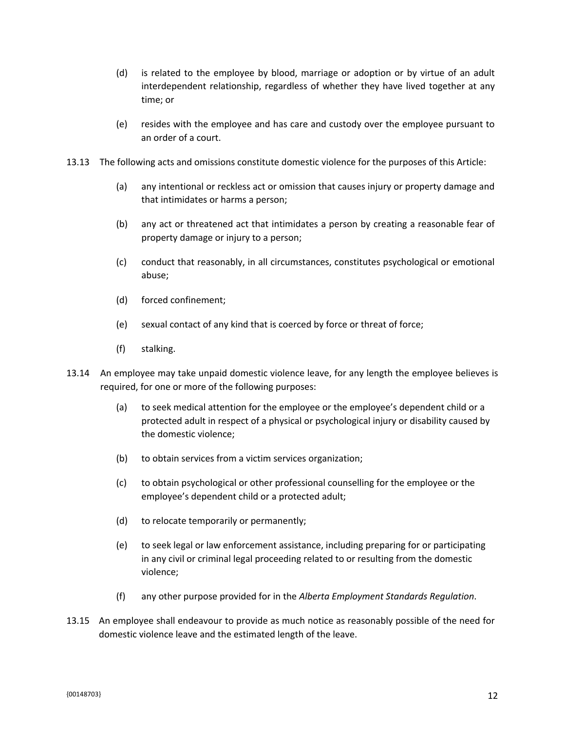- (d) is related to the employee by blood, marriage or adoption or by virtue of an adult interdependent relationship, regardless of whether they have lived together at any time; or
- (e) resides with the employee and has care and custody over the employee pursuant to an order of a court.
- 13.13 The following acts and omissions constitute domestic violence for the purposes of this Article:
	- (a) any intentional or reckless act or omission that causes injury or property damage and that intimidates or harms a person;
	- (b) any act or threatened act that intimidates a person by creating a reasonable fear of property damage or injury to a person;
	- (c) conduct that reasonably, in all circumstances, constitutes psychological or emotional abuse;
	- (d) forced confinement;
	- (e) sexual contact of any kind that is coerced by force or threat of force;
	- (f) stalking.
- 13.14 An employee may take unpaid domestic violence leave, for any length the employee believes is required, for one or more of the following purposes:
	- (a) to seek medical attention for the employee or the employee's dependent child or a protected adult in respect of a physical or psychological injury or disability caused by the domestic violence;
	- (b) to obtain services from a victim services organization;
	- (c) to obtain psychological or other professional counselling for the employee or the employee's dependent child or a protected adult;
	- (d) to relocate temporarily or permanently;
	- (e) to seek legal or law enforcement assistance, including preparing for or participating in any civil or criminal legal proceeding related to or resulting from the domestic violence;
	- (f) any other purpose provided for in the *Alberta Employment Standards Regulation*.
- 13.15 An employee shall endeavour to provide as much notice as reasonably possible of the need for domestic violence leave and the estimated length of the leave.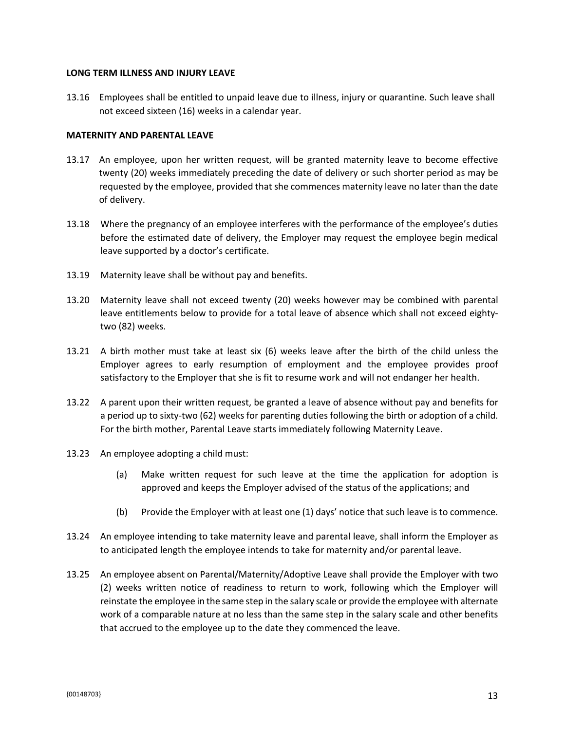#### **LONG TERM ILLNESS AND INJURY LEAVE**

13.16 Employees shall be entitled to unpaid leave due to illness, injury or quarantine. Such leave shall not exceed sixteen (16) weeks in a calendar year.

#### **MATERNITY AND PARENTAL LEAVE**

- 13.17 An employee, upon her written request, will be granted maternity leave to become effective twenty (20) weeks immediately preceding the date of delivery or such shorter period as may be requested by the employee, provided that she commences maternity leave no later than the date of delivery.
- 13.18 Where the pregnancy of an employee interferes with the performance of the employee's duties before the estimated date of delivery, the Employer may request the employee begin medical leave supported by a doctor's certificate.
- 13.19 Maternity leave shall be without pay and benefits.
- 13.20 Maternity leave shall not exceed twenty (20) weeks however may be combined with parental leave entitlements below to provide for a total leave of absence which shall not exceed eightytwo (82) weeks.
- 13.21 A birth mother must take at least six (6) weeks leave after the birth of the child unless the Employer agrees to early resumption of employment and the employee provides proof satisfactory to the Employer that she is fit to resume work and will not endanger her health.
- 13.22 A parent upon their written request, be granted a leave of absence without pay and benefits for a period up to sixty-two (62) weeks for parenting duties following the birth or adoption of a child. For the birth mother, Parental Leave starts immediately following Maternity Leave.
- 13.23 An employee adopting a child must:
	- (a) Make written request for such leave at the time the application for adoption is approved and keeps the Employer advised of the status of the applications; and
	- (b) Provide the Employer with at least one (1) days' notice that such leave is to commence.
- 13.24 An employee intending to take maternity leave and parental leave, shall inform the Employer as to anticipated length the employee intends to take for maternity and/or parental leave.
- 13.25 An employee absent on Parental/Maternity/Adoptive Leave shall provide the Employer with two (2) weeks written notice of readiness to return to work, following which the Employer will reinstate the employee in the same step in the salary scale or provide the employee with alternate work of a comparable nature at no less than the same step in the salary scale and other benefits that accrued to the employee up to the date they commenced the leave.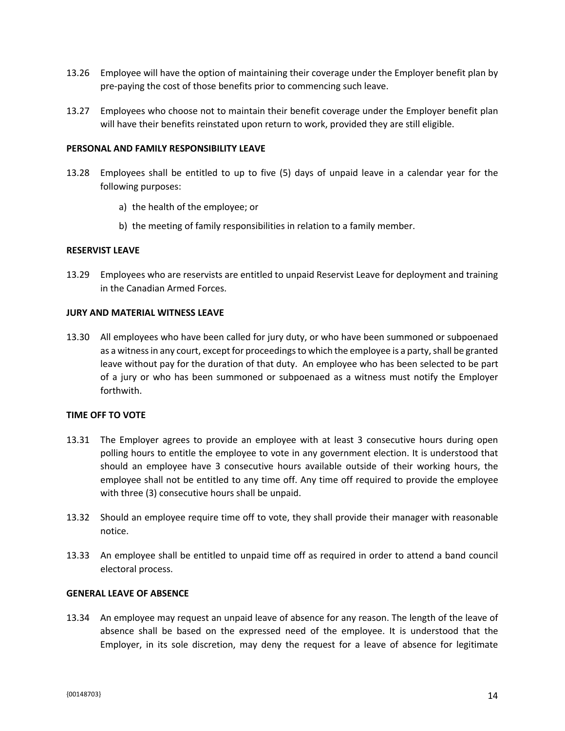- 13.26 Employee will have the option of maintaining their coverage under the Employer benefit plan by pre-paying the cost of those benefits prior to commencing such leave.
- 13.27 Employees who choose not to maintain their benefit coverage under the Employer benefit plan will have their benefits reinstated upon return to work, provided they are still eligible.

#### **PERSONAL AND FAMILY RESPONSIBILITY LEAVE**

- 13.28 Employees shall be entitled to up to five (5) days of unpaid leave in a calendar year for the following purposes:
	- a) the health of the employee; or
	- b) the meeting of family responsibilities in relation to a family member.

#### **RESERVIST LEAVE**

13.29 Employees who are reservists are entitled to unpaid Reservist Leave for deployment and training in the Canadian Armed Forces.

#### **JURY AND MATERIAL WITNESS LEAVE**

13.30 All employees who have been called for jury duty, or who have been summoned or subpoenaed as a witness in any court, except for proceedings to which the employee is a party, shall be granted leave without pay for the duration of that duty. An employee who has been selected to be part of a jury or who has been summoned or subpoenaed as a witness must notify the Employer forthwith.

#### **TIME OFF TO VOTE**

- 13.31 The Employer agrees to provide an employee with at least 3 consecutive hours during open polling hours to entitle the employee to vote in any government election. It is understood that should an employee have 3 consecutive hours available outside of their working hours, the employee shall not be entitled to any time off. Any time off required to provide the employee with three (3) consecutive hours shall be unpaid.
- 13.32 Should an employee require time off to vote, they shall provide their manager with reasonable notice.
- 13.33 An employee shall be entitled to unpaid time off as required in order to attend a band council electoral process.

#### **GENERAL LEAVE OF ABSENCE**

13.34 An employee may request an unpaid leave of absence for any reason. The length of the leave of absence shall be based on the expressed need of the employee. It is understood that the Employer, in its sole discretion, may deny the request for a leave of absence for legitimate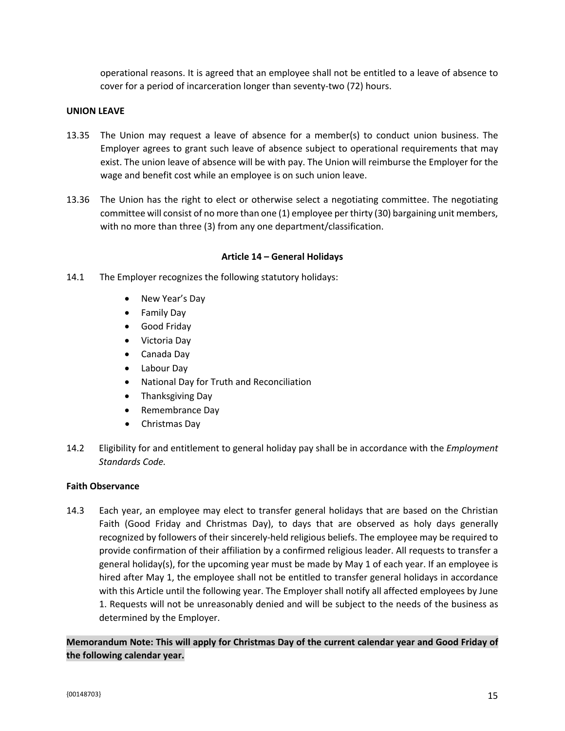operational reasons. It is agreed that an employee shall not be entitled to a leave of absence to cover for a period of incarceration longer than seventy-two (72) hours.

### **UNION LEAVE**

- 13.35 The Union may request a leave of absence for a member(s) to conduct union business. The Employer agrees to grant such leave of absence subject to operational requirements that may exist. The union leave of absence will be with pay. The Union will reimburse the Employer for the wage and benefit cost while an employee is on such union leave.
- 13.36 The Union has the right to elect or otherwise select a negotiating committee. The negotiating committee will consist of no more than one (1) employee per thirty (30) bargaining unit members, with no more than three (3) from any one department/classification.

### **Article 14 – General Holidays**

- 14.1 The Employer recognizes the following statutory holidays:
	- New Year's Day
	- Family Day
	- Good Friday
	- Victoria Day
	- Canada Day
	- Labour Day
	- National Day for Truth and Reconciliation
	- Thanksgiving Day
	- Remembrance Day
	- Christmas Day
- 14.2 Eligibility for and entitlement to general holiday pay shall be in accordance with the *Employment Standards Code.*

### **Faith Observance**

14.3 Each year, an employee may elect to transfer general holidays that are based on the Christian Faith (Good Friday and Christmas Day), to days that are observed as holy days generally recognized by followers of their sincerely-held religious beliefs. The employee may be required to provide confirmation of their affiliation by a confirmed religious leader. All requests to transfer a general holiday(s), for the upcoming year must be made by May 1 of each year. If an employee is hired after May 1, the employee shall not be entitled to transfer general holidays in accordance with this Article until the following year. The Employer shall notify all affected employees by June 1. Requests will not be unreasonably denied and will be subject to the needs of the business as determined by the Employer.

**Memorandum Note: This will apply for Christmas Day of the current calendar year and Good Friday of the following calendar year.**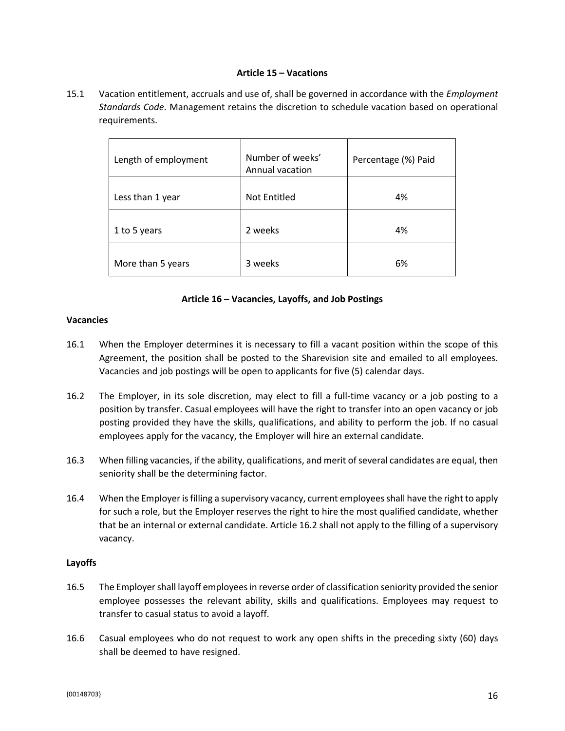#### **Article 15 – Vacations**

15.1 Vacation entitlement, accruals and use of, shall be governed in accordance with the *Employment Standards Code*. Management retains the discretion to schedule vacation based on operational requirements.

| Length of employment | Number of weeks'<br>Annual vacation | Percentage (%) Paid |  |
|----------------------|-------------------------------------|---------------------|--|
| Less than 1 year     | Not Entitled                        | 4%                  |  |
| 1 to 5 years         | 2 weeks                             | 4%                  |  |
| More than 5 years    | 3 weeks                             | 6%                  |  |

### **Article 16 – Vacancies, Layoffs, and Job Postings**

#### **Vacancies**

- 16.1 When the Employer determines it is necessary to fill a vacant position within the scope of this Agreement, the position shall be posted to the Sharevision site and emailed to all employees. Vacancies and job postings will be open to applicants for five (5) calendar days.
- 16.2 The Employer, in its sole discretion, may elect to fill a full-time vacancy or a job posting to a position by transfer. Casual employees will have the right to transfer into an open vacancy or job posting provided they have the skills, qualifications, and ability to perform the job. If no casual employees apply for the vacancy, the Employer will hire an external candidate.
- 16.3 When filling vacancies, if the ability, qualifications, and merit of several candidates are equal, then seniority shall be the determining factor.
- 16.4 When the Employer is filling a supervisory vacancy, current employees shall have the right to apply for such a role, but the Employer reserves the right to hire the most qualified candidate, whether that be an internal or external candidate. Article 16.2 shall not apply to the filling of a supervisory vacancy.

### **Layoffs**

- 16.5 The Employer shall layoff employees in reverse order of classification seniority provided the senior employee possesses the relevant ability, skills and qualifications. Employees may request to transfer to casual status to avoid a layoff.
- 16.6 Casual employees who do not request to work any open shifts in the preceding sixty (60) days shall be deemed to have resigned.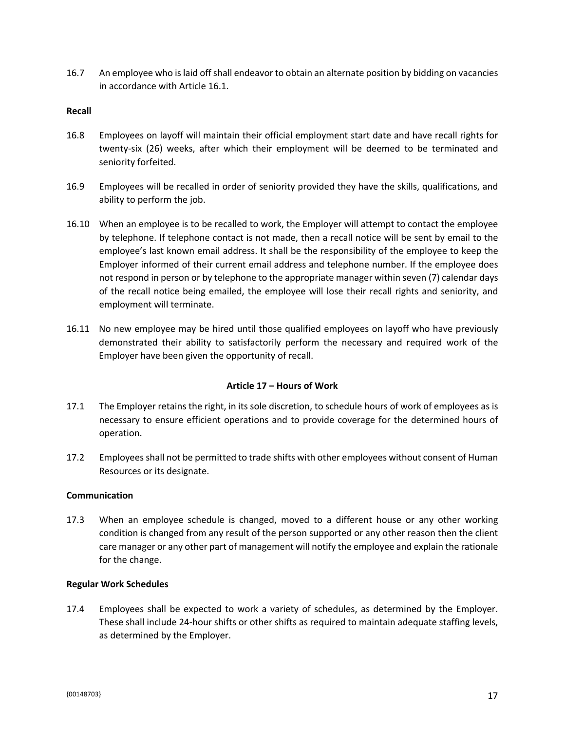16.7 An employee who is laid off shall endeavor to obtain an alternate position by bidding on vacancies in accordance with Article 16.1.

#### **Recall**

- 16.8 Employees on layoff will maintain their official employment start date and have recall rights for twenty-six (26) weeks, after which their employment will be deemed to be terminated and seniority forfeited.
- 16.9 Employees will be recalled in order of seniority provided they have the skills, qualifications, and ability to perform the job.
- 16.10 When an employee is to be recalled to work, the Employer will attempt to contact the employee by telephone. If telephone contact is not made, then a recall notice will be sent by email to the employee's last known email address. It shall be the responsibility of the employee to keep the Employer informed of their current email address and telephone number. If the employee does not respond in person or by telephone to the appropriate manager within seven (7) calendar days of the recall notice being emailed, the employee will lose their recall rights and seniority, and employment will terminate.
- 16.11 No new employee may be hired until those qualified employees on layoff who have previously demonstrated their ability to satisfactorily perform the necessary and required work of the Employer have been given the opportunity of recall.

### **Article 17 – Hours of Work**

- 17.1 The Employer retains the right, in its sole discretion, to schedule hours of work of employees as is necessary to ensure efficient operations and to provide coverage for the determined hours of operation.
- 17.2 Employees shall not be permitted to trade shifts with other employees without consent of Human Resources or its designate.

#### **Communication**

17.3 When an employee schedule is changed, moved to a different house or any other working condition is changed from any result of the person supported or any other reason then the client care manager or any other part of management will notify the employee and explain the rationale for the change.

#### **Regular Work Schedules**

17.4 Employees shall be expected to work a variety of schedules, as determined by the Employer. These shall include 24-hour shifts or other shifts as required to maintain adequate staffing levels, as determined by the Employer.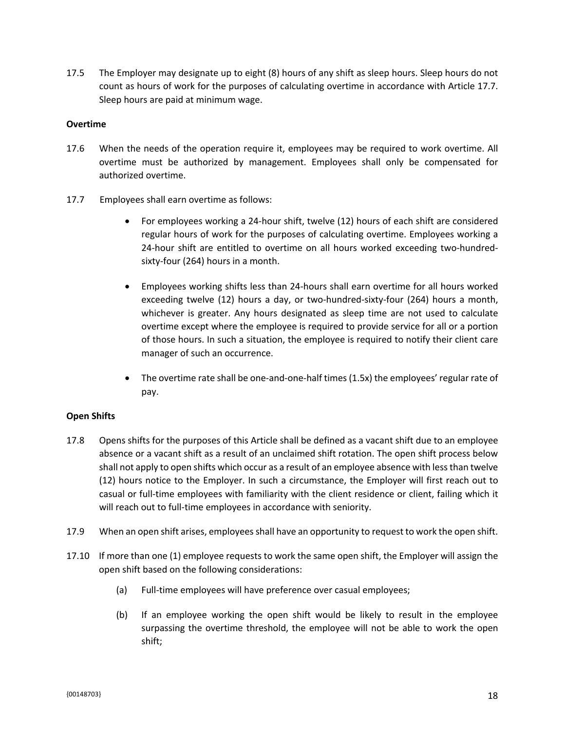17.5 The Employer may designate up to eight (8) hours of any shift as sleep hours. Sleep hours do not count as hours of work for the purposes of calculating overtime in accordance with Article 17.7. Sleep hours are paid at minimum wage.

### **Overtime**

- 17.6 When the needs of the operation require it, employees may be required to work overtime. All overtime must be authorized by management. Employees shall only be compensated for authorized overtime.
- 17.7 Employees shall earn overtime as follows:
	- For employees working a 24-hour shift, twelve (12) hours of each shift are considered regular hours of work for the purposes of calculating overtime. Employees working a 24-hour shift are entitled to overtime on all hours worked exceeding two-hundredsixty-four (264) hours in a month.
	- Employees working shifts less than 24-hours shall earn overtime for all hours worked exceeding twelve (12) hours a day, or two-hundred-sixty-four (264) hours a month, whichever is greater. Any hours designated as sleep time are not used to calculate overtime except where the employee is required to provide service for all or a portion of those hours. In such a situation, the employee is required to notify their client care manager of such an occurrence.
	- The overtime rate shall be one-and-one-half times (1.5x) the employees' regular rate of pay.

### **Open Shifts**

- 17.8 Opens shifts for the purposes of this Article shall be defined as a vacant shift due to an employee absence or a vacant shift as a result of an unclaimed shift rotation. The open shift process below shall not apply to open shifts which occur as a result of an employee absence with less than twelve (12) hours notice to the Employer. In such a circumstance, the Employer will first reach out to casual or full-time employees with familiarity with the client residence or client, failing which it will reach out to full-time employees in accordance with seniority.
- 17.9 When an open shift arises, employees shall have an opportunity to request to work the open shift.
- 17.10 If more than one (1) employee requests to work the same open shift, the Employer will assign the open shift based on the following considerations:
	- (a) Full-time employees will have preference over casual employees;
	- (b) If an employee working the open shift would be likely to result in the employee surpassing the overtime threshold, the employee will not be able to work the open shift;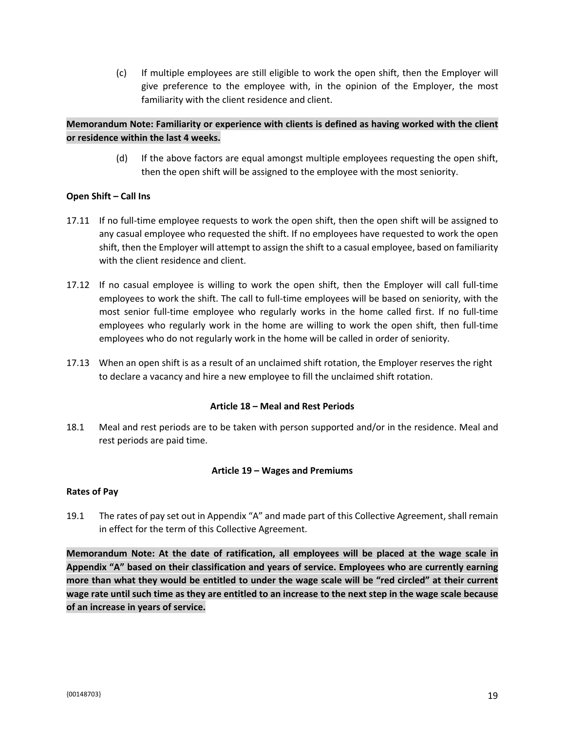(c) If multiple employees are still eligible to work the open shift, then the Employer will give preference to the employee with, in the opinion of the Employer, the most familiarity with the client residence and client.

### **Memorandum Note: Familiarity or experience with clients is defined as having worked with the client or residence within the last 4 weeks.**

(d) If the above factors are equal amongst multiple employees requesting the open shift, then the open shift will be assigned to the employee with the most seniority.

### **Open Shift – Call Ins**

- 17.11 If no full-time employee requests to work the open shift, then the open shift will be assigned to any casual employee who requested the shift. If no employees have requested to work the open shift, then the Employer will attempt to assign the shift to a casual employee, based on familiarity with the client residence and client.
- 17.12 If no casual employee is willing to work the open shift, then the Employer will call full-time employees to work the shift. The call to full-time employees will be based on seniority, with the most senior full-time employee who regularly works in the home called first. If no full-time employees who regularly work in the home are willing to work the open shift, then full-time employees who do not regularly work in the home will be called in order of seniority.
- 17.13 When an open shift is as a result of an unclaimed shift rotation, the Employer reserves the right to declare a vacancy and hire a new employee to fill the unclaimed shift rotation.

### **Article 18 – Meal and Rest Periods**

18.1 Meal and rest periods are to be taken with person supported and/or in the residence. Meal and rest periods are paid time.

### **Article 19 – Wages and Premiums**

### **Rates of Pay**

19.1 The rates of pay set out in Appendix "A" and made part of this Collective Agreement, shall remain in effect for the term of this Collective Agreement.

**Memorandum Note: At the date of ratification, all employees will be placed at the wage scale in Appendix "A" based on their classification and years of service. Employees who are currently earning more than what they would be entitled to under the wage scale will be "red circled" at their current wage rate until such time as they are entitled to an increase to the next step in the wage scale because of an increase in years of service.**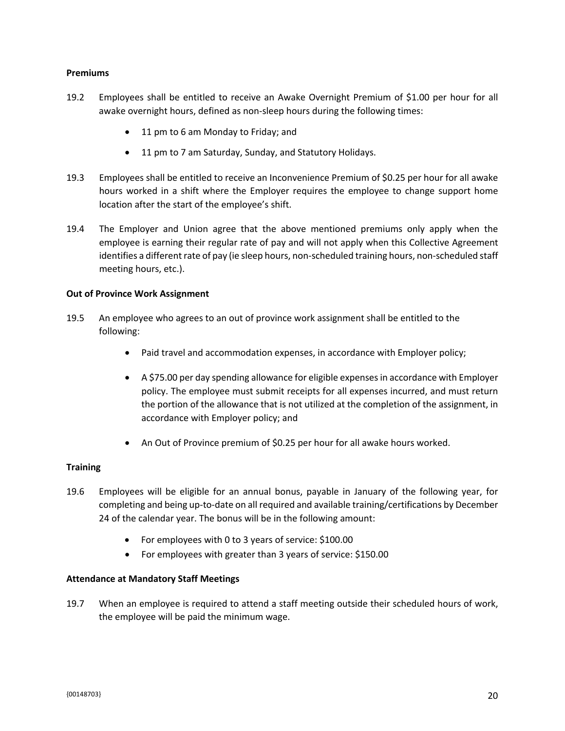#### **Premiums**

- 19.2 Employees shall be entitled to receive an Awake Overnight Premium of \$1.00 per hour for all awake overnight hours, defined as non-sleep hours during the following times:
	- 11 pm to 6 am Monday to Friday; and
	- 11 pm to 7 am Saturday, Sunday, and Statutory Holidays.
- 19.3 Employees shall be entitled to receive an Inconvenience Premium of \$0.25 per hour for all awake hours worked in a shift where the Employer requires the employee to change support home location after the start of the employee's shift.
- 19.4 The Employer and Union agree that the above mentioned premiums only apply when the employee is earning their regular rate of pay and will not apply when this Collective Agreement identifies a different rate of pay (ie sleep hours, non-scheduled training hours, non-scheduled staff meeting hours, etc.).

#### **Out of Province Work Assignment**

- 19.5 An employee who agrees to an out of province work assignment shall be entitled to the following:
	- Paid travel and accommodation expenses, in accordance with Employer policy;
	- A \$75.00 per day spending allowance for eligible expenses in accordance with Employer policy. The employee must submit receipts for all expenses incurred, and must return the portion of the allowance that is not utilized at the completion of the assignment, in accordance with Employer policy; and
	- An Out of Province premium of \$0.25 per hour for all awake hours worked.

### **Training**

- 19.6 Employees will be eligible for an annual bonus, payable in January of the following year, for completing and being up-to-date on all required and available training/certifications by December 24 of the calendar year. The bonus will be in the following amount:
	- For employees with 0 to 3 years of service: \$100.00
	- For employees with greater than 3 years of service: \$150.00

### **Attendance at Mandatory Staff Meetings**

19.7 When an employee is required to attend a staff meeting outside their scheduled hours of work, the employee will be paid the minimum wage.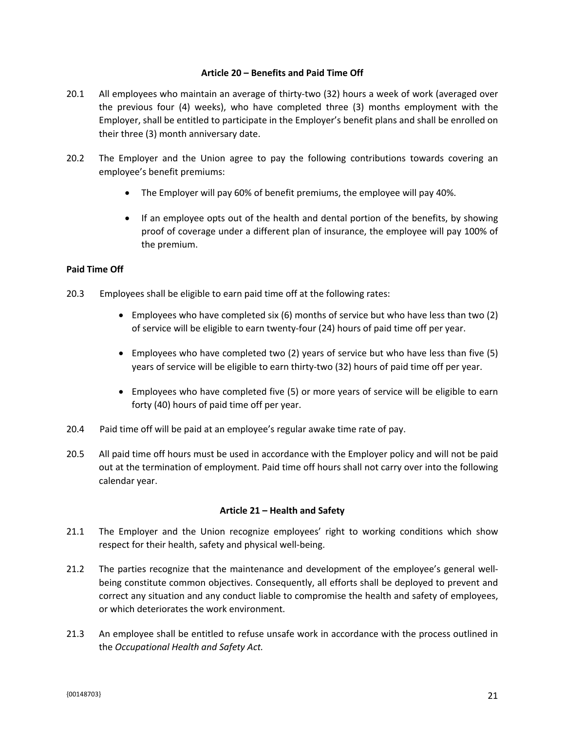#### **Article 20 – Benefits and Paid Time Off**

- 20.1 All employees who maintain an average of thirty-two (32) hours a week of work (averaged over the previous four (4) weeks), who have completed three (3) months employment with the Employer, shall be entitled to participate in the Employer's benefit plans and shall be enrolled on their three (3) month anniversary date.
- 20.2 The Employer and the Union agree to pay the following contributions towards covering an employee's benefit premiums:
	- The Employer will pay 60% of benefit premiums, the employee will pay 40%.
	- If an employee opts out of the health and dental portion of the benefits, by showing proof of coverage under a different plan of insurance, the employee will pay 100% of the premium.

### **Paid Time Off**

- 20.3 Employees shall be eligible to earn paid time off at the following rates:
	- Employees who have completed six (6) months of service but who have less than two (2) of service will be eligible to earn twenty-four (24) hours of paid time off per year.
	- Employees who have completed two (2) years of service but who have less than five (5) years of service will be eligible to earn thirty-two (32) hours of paid time off per year.
	- Employees who have completed five (5) or more years of service will be eligible to earn forty (40) hours of paid time off per year.
- 20.4 Paid time off will be paid at an employee's regular awake time rate of pay.
- 20.5 All paid time off hours must be used in accordance with the Employer policy and will not be paid out at the termination of employment. Paid time off hours shall not carry over into the following calendar year.

### **Article 21 – Health and Safety**

- 21.1 The Employer and the Union recognize employees' right to working conditions which show respect for their health, safety and physical well-being.
- 21.2 The parties recognize that the maintenance and development of the employee's general wellbeing constitute common objectives. Consequently, all efforts shall be deployed to prevent and correct any situation and any conduct liable to compromise the health and safety of employees, or which deteriorates the work environment.
- 21.3 An employee shall be entitled to refuse unsafe work in accordance with the process outlined in the *Occupational Health and Safety Act.*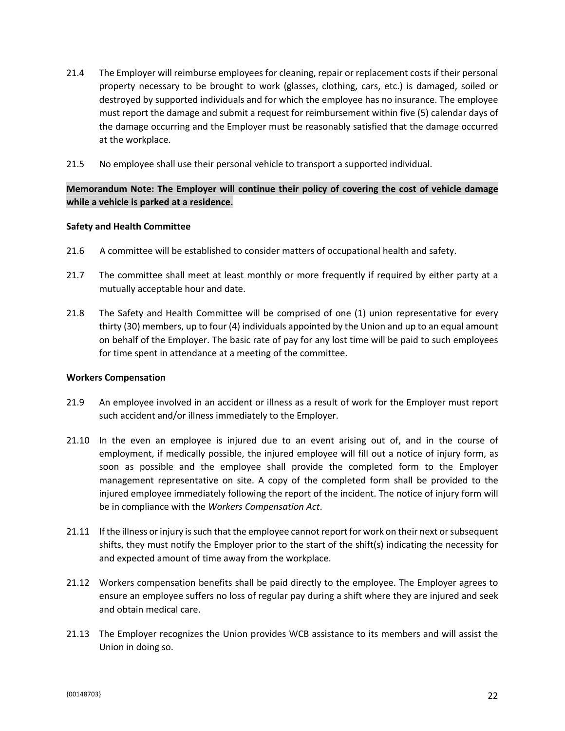- 21.4 The Employer will reimburse employees for cleaning, repair or replacement costs if their personal property necessary to be brought to work (glasses, clothing, cars, etc.) is damaged, soiled or destroyed by supported individuals and for which the employee has no insurance. The employee must report the damage and submit a request for reimbursement within five (5) calendar days of the damage occurring and the Employer must be reasonably satisfied that the damage occurred at the workplace.
- 21.5 No employee shall use their personal vehicle to transport a supported individual.

### **Memorandum Note: The Employer will continue their policy of covering the cost of vehicle damage while a vehicle is parked at a residence.**

#### **Safety and Health Committee**

- 21.6 A committee will be established to consider matters of occupational health and safety.
- 21.7 The committee shall meet at least monthly or more frequently if required by either party at a mutually acceptable hour and date.
- 21.8 The Safety and Health Committee will be comprised of one (1) union representative for every thirty (30) members, up to four (4) individuals appointed by the Union and up to an equal amount on behalf of the Employer. The basic rate of pay for any lost time will be paid to such employees for time spent in attendance at a meeting of the committee.

#### **Workers Compensation**

- 21.9 An employee involved in an accident or illness as a result of work for the Employer must report such accident and/or illness immediately to the Employer.
- 21.10 In the even an employee is injured due to an event arising out of, and in the course of employment, if medically possible, the injured employee will fill out a notice of injury form, as soon as possible and the employee shall provide the completed form to the Employer management representative on site. A copy of the completed form shall be provided to the injured employee immediately following the report of the incident. The notice of injury form will be in compliance with the *Workers Compensation Act*.
- 21.11 If the illness or injury is such that the employee cannot report for work on their next or subsequent shifts, they must notify the Employer prior to the start of the shift(s) indicating the necessity for and expected amount of time away from the workplace.
- 21.12 Workers compensation benefits shall be paid directly to the employee. The Employer agrees to ensure an employee suffers no loss of regular pay during a shift where they are injured and seek and obtain medical care.
- 21.13 The Employer recognizes the Union provides WCB assistance to its members and will assist the Union in doing so.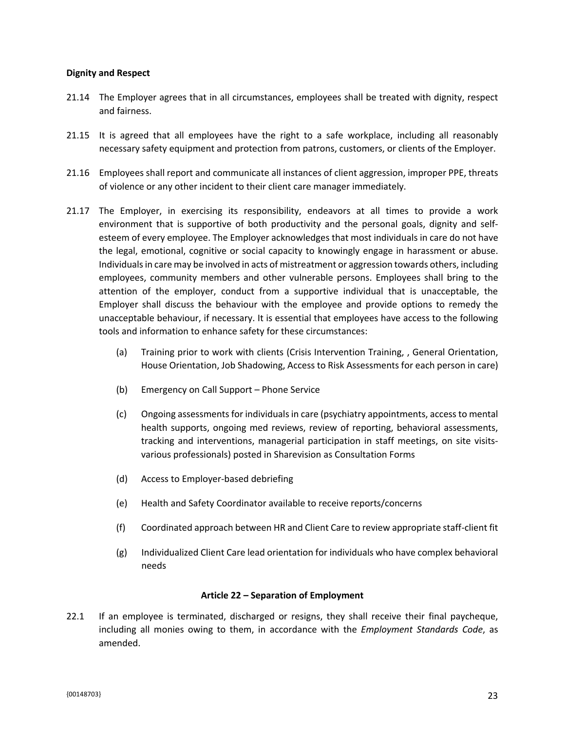#### **Dignity and Respect**

- 21.14 The Employer agrees that in all circumstances, employees shall be treated with dignity, respect and fairness.
- 21.15 It is agreed that all employees have the right to a safe workplace, including all reasonably necessary safety equipment and protection from patrons, customers, or clients of the Employer.
- 21.16 Employees shall report and communicate all instances of client aggression, improper PPE, threats of violence or any other incident to their client care manager immediately.
- 21.17 The Employer, in exercising its responsibility, endeavors at all times to provide a work environment that is supportive of both productivity and the personal goals, dignity and selfesteem of every employee. The Employer acknowledges that most individuals in care do not have the legal, emotional, cognitive or social capacity to knowingly engage in harassment or abuse. Individuals in care may be involved in acts of mistreatment or aggression towards others, including employees, community members and other vulnerable persons. Employees shall bring to the attention of the employer, conduct from a supportive individual that is unacceptable, the Employer shall discuss the behaviour with the employee and provide options to remedy the unacceptable behaviour, if necessary. It is essential that employees have access to the following tools and information to enhance safety for these circumstances:
	- (a) Training prior to work with clients (Crisis Intervention Training, , General Orientation, House Orientation, Job Shadowing, Access to Risk Assessments for each person in care)
	- (b) Emergency on Call Support Phone Service
	- (c) Ongoing assessments for individuals in care (psychiatry appointments, access to mental health supports, ongoing med reviews, review of reporting, behavioral assessments, tracking and interventions, managerial participation in staff meetings, on site visitsvarious professionals) posted in Sharevision as Consultation Forms
	- (d) Access to Employer-based debriefing
	- (e) Health and Safety Coordinator available to receive reports/concerns
	- (f) Coordinated approach between HR and Client Care to review appropriate staff-client fit
	- (g) Individualized Client Care lead orientation for individuals who have complex behavioral needs

#### **Article 22 – Separation of Employment**

22.1 If an employee is terminated, discharged or resigns, they shall receive their final paycheque, including all monies owing to them, in accordance with the *Employment Standards Code*, as amended.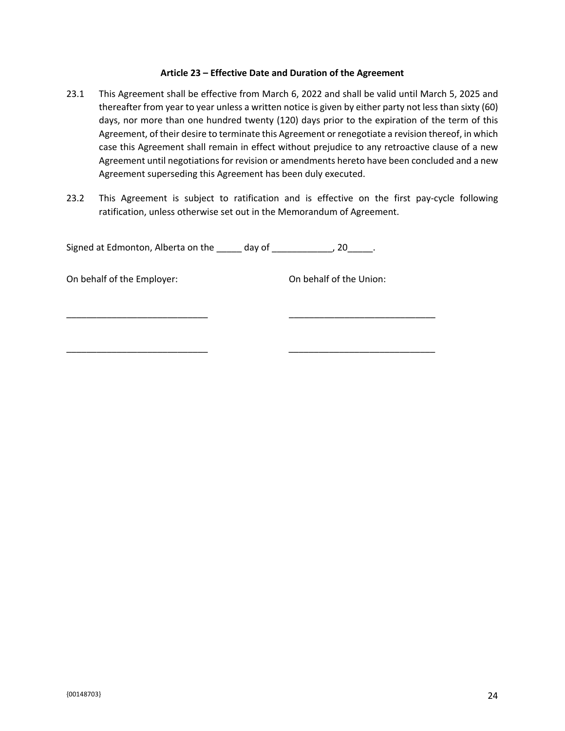#### **Article 23 – Effective Date and Duration of the Agreement**

- 23.1 This Agreement shall be effective from March 6, 2022 and shall be valid until March 5, 2025 and thereafter from year to year unless a written notice is given by either party not less than sixty (60) days, nor more than one hundred twenty (120) days prior to the expiration of the term of this Agreement, of their desire to terminate this Agreement or renegotiate a revision thereof, in which case this Agreement shall remain in effect without prejudice to any retroactive clause of a new Agreement until negotiations for revision or amendments hereto have been concluded and a new Agreement superseding this Agreement has been duly executed.
- 23.2 This Agreement is subject to ratification and is effective on the first pay-cycle following ratification, unless otherwise set out in the Memorandum of Agreement.

Signed at Edmonton, Alberta on the \_\_\_\_\_ day of \_\_\_\_\_\_\_\_\_\_\_\_, 20\_\_\_\_\_.

\_\_\_\_\_\_\_\_\_\_\_\_\_\_\_\_\_\_\_\_\_\_\_\_\_\_\_\_ \_\_\_\_\_\_\_\_\_\_\_\_\_\_\_\_\_\_\_\_\_\_\_\_\_\_\_\_\_

\_\_\_\_\_\_\_\_\_\_\_\_\_\_\_\_\_\_\_\_\_\_\_\_\_\_\_\_ \_\_\_\_\_\_\_\_\_\_\_\_\_\_\_\_\_\_\_\_\_\_\_\_\_\_\_\_\_

On behalf of the Employer: On behalf of the Union:

 ${00148703}$  24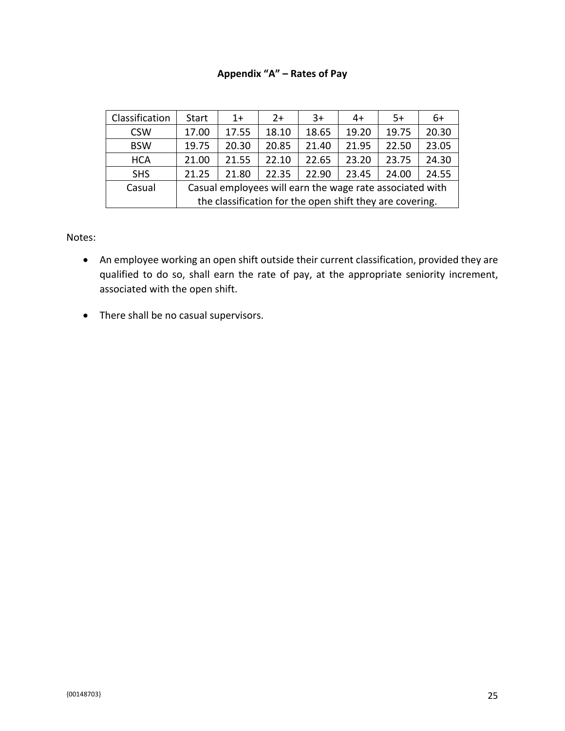## **Appendix "A" – Rates of Pay**

| Classification | <b>Start</b>                                             | $1+$  | $2+$  | $3+$  | 4+    | 5+    | 6+    |  |
|----------------|----------------------------------------------------------|-------|-------|-------|-------|-------|-------|--|
| <b>CSW</b>     | 17.00                                                    | 17.55 | 18.10 | 18.65 | 19.20 | 19.75 | 20.30 |  |
| <b>BSW</b>     | 19.75                                                    | 20.30 | 20.85 | 21.40 | 21.95 | 22.50 | 23.05 |  |
| <b>HCA</b>     | 21.00                                                    | 21.55 | 22.10 | 22.65 | 23.20 | 23.75 | 24.30 |  |
| <b>SHS</b>     | 21.25                                                    | 21.80 | 22.35 | 22.90 | 23.45 | 24.00 | 24.55 |  |
| Casual         | Casual employees will earn the wage rate associated with |       |       |       |       |       |       |  |
|                | the classification for the open shift they are covering. |       |       |       |       |       |       |  |

Notes:

- An employee working an open shift outside their current classification, provided they are qualified to do so, shall earn the rate of pay, at the appropriate seniority increment, associated with the open shift.
- There shall be no casual supervisors.